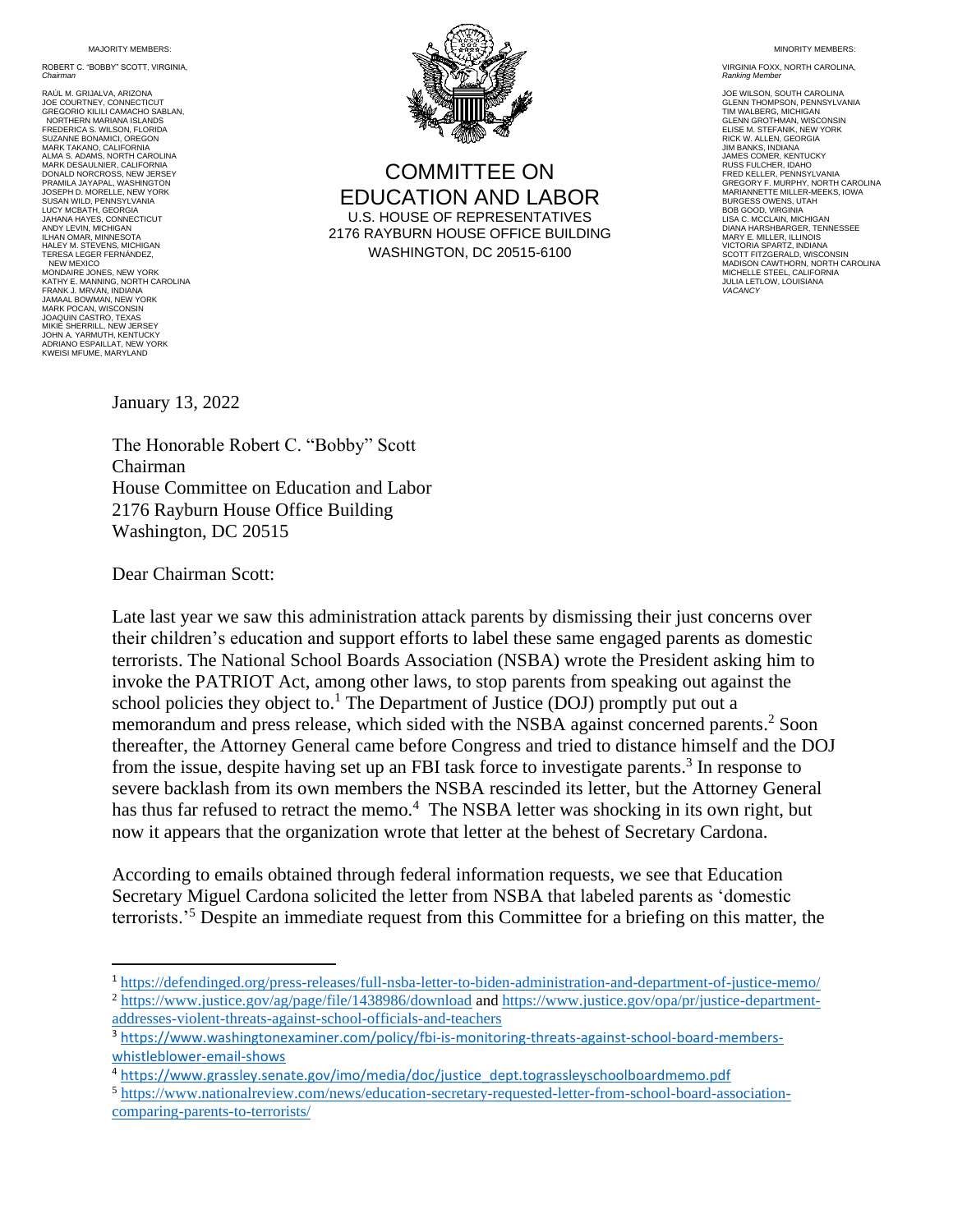MA **JORITY MEMBERS:** 

ROBERT C. "BOBBY" SCOTT, VIRGINIA, *Chairman* 

RAÚL M. GRIJALVA, ARIZONA JOE COURTNEY, CONNECTICUT GREGORIO KILILI CAMACHO SABLAN, NORTHERN MARIANA ISLANDS FREDERICA S. WILSON, FLORIDA SUZANNE BONAMICI, OREGON MARK TAKANO, CALIFORNIA ALMA S. ADAMS, NORTH CAROLINA MARK DESAULNIER, CALIFORNIA DONALD NORCROSS, NEW JERSEY PRAMILA JAYAPAL, WASHINGTON JOSEPH D. MORELLE, NEW YORK SUSAN WILD, PENNSYLVANI LUCY MCBATH, GEORGIA JAHANA HAYES, CONNECTICUT ANDY LEVIN, MICHIGAN ILHAN OMAR, MINNESOTA<br>HALEY M. STEVENS, MICHIGAN<br>TERESA LEGER FERNÁNDEZ, NEW MEXICO MONDAIRE JONES, NEW YORK KATHY E. MANNING, NORTH CAROLINA FRANK J. MRVAN, INDIANA JAMAAL BOWMAN, NEW YORK MARK POCAN, WISCONSIN JOAQUIN CASTRO, TEXAS MIKIE SHERRILL, NEW JERSEY JOHN A. YARMUTH, KENTUCKY ADRIANO ESPAILLAT, NEW YORK KWEISI MFUME, MARYLAND



COMMITTEE ON EDUCATION AND LABOR U.S. HOUSE OF REPRESENTATIVES 2176 RAYBURN HOUSE OFFICE BUILDING WASHINGTON, DC 20515-6100

MINORITY MEMBERS:

VIRGINIA FOXX, NORTH CAROLINA, *Ranking Member*

JOE WILSON, SOUTH CAROLINA GLENN THOMPSON, PENNSYLVANIA TIM WALBERG, MICHIGAN GLENN GROTHMAN, WISCONSIN ELISE M. STEFANIK, NEW YORK RICK W. ALLEN, GEORGIA JIM BANKS, INDIANA JAMES COMER, KENTUCKY RUSS FULCHER, IDAHO FRED KELLER, PENNSYLVANIA GREGORY F. MURPHY, NORTH CAROLINA MARIANNETTE MILLER-MEEKS, IOWA BURGESS OWENS, UTAH BOB GOOD, VIRGINIA LISA C. MCCLAIN, MICHIGAN DIANA HARSHBARGER, TENNESSEE MARY E. MILLER, ILLINOIS VICTORIA SPARTZ, INDIANA SCOTT FITZGERALD, WISCONSIN MADISON CAWTHORN, NORTH CAROLINA MICHELLE STEEL, CALIFORNIA JULIA LETLOW, LOUISIANA *VACANCY*

January 13, 2022

The Honorable Robert C. "Bobby" Scott Chairman House Committee on Education and Labor 2176 Rayburn House Office Building Washington, DC 20515

Dear Chairman Scott:

Late last year we saw this administration attack parents by dismissing their just concerns over their children's education and support efforts to label these same engaged parents as domestic terrorists. The National School Boards Association (NSBA) wrote the President asking him to invoke the PATRIOT Act, among other laws, to stop parents from speaking out against the school policies they object to.<sup>1</sup> The Department of Justice (DOJ) promptly put out a memorandum and press release, which sided with the NSBA against concerned parents. <sup>2</sup> Soon thereafter, the Attorney General came before Congress and tried to distance himself and the DOJ from the issue, despite having set up an FBI task force to investigate parents.<sup>3</sup> In response to severe backlash from its own members the NSBA rescinded its letter, but the Attorney General has thus far refused to retract the memo.<sup>4</sup> The NSBA letter was shocking in its own right, but now it appears that the organization wrote that letter at the behest of Secretary Cardona.

According to emails obtained through federal information requests, we see that Education Secretary Miguel Cardona solicited the letter from NSBA that labeled parents as 'domestic terrorists.'<sup>5</sup> Despite an immediate request from this Committee for a briefing on this matter, the

<sup>1</sup> <https://defendinged.org/press-releases/full-nsba-letter-to-biden-administration-and-department-of-justice-memo/> <sup>2</sup> <https://www.justice.gov/ag/page/file/1438986/download> an[d https://www.justice.gov/opa/pr/justice-department](https://www.justice.gov/opa/pr/justice-department-addresses-violent-threats-against-school-officials-and-teachers)[addresses-violent-threats-against-school-officials-and-teachers](https://www.justice.gov/opa/pr/justice-department-addresses-violent-threats-against-school-officials-and-teachers)

<sup>3</sup> [https://www.washingtonexaminer.com/policy/fbi-is-monitoring-threats-against-school-board-members](https://www.washingtonexaminer.com/policy/fbi-is-monitoring-threats-against-school-board-members-whistleblower-email-shows)[whistleblower-email-shows](https://www.washingtonexaminer.com/policy/fbi-is-monitoring-threats-against-school-board-members-whistleblower-email-shows)

<sup>4</sup> [https://www.grassley.senate.gov/imo/media/doc/justice\\_dept.tograssleyschoolboardmemo.pdf](https://www.grassley.senate.gov/imo/media/doc/justice_dept.tograssleyschoolboardmemo.pdf)

<sup>5</sup> [https://www.nationalreview.com/news/education-secretary-requested-letter-from-school-board-association](https://www.nationalreview.com/news/education-secretary-requested-letter-from-school-board-association-comparing-parents-to-terrorists/)[comparing-parents-to-terrorists/](https://www.nationalreview.com/news/education-secretary-requested-letter-from-school-board-association-comparing-parents-to-terrorists/)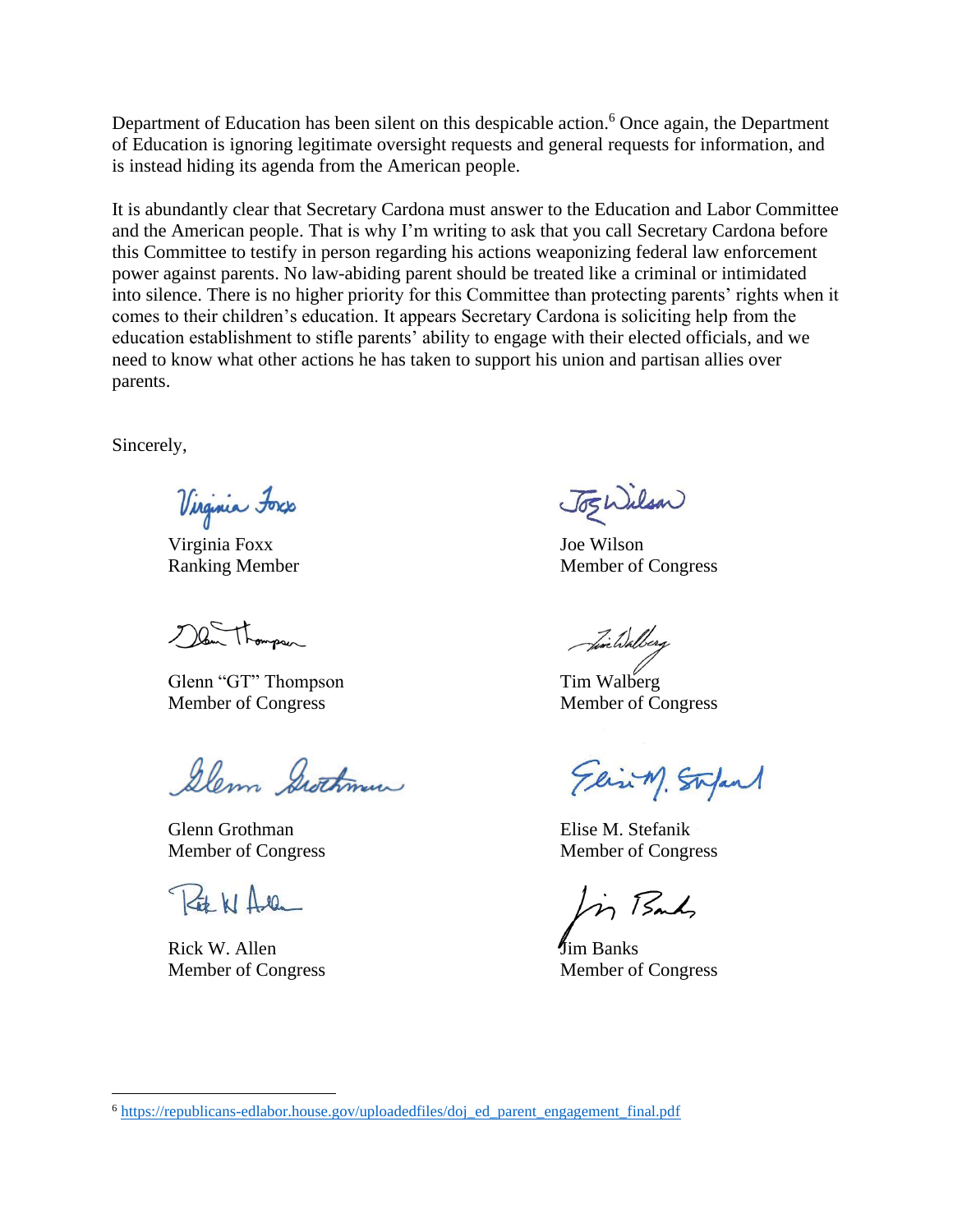Department of Education has been silent on this despicable action.<sup>6</sup> Once again, the Department of Education is ignoring legitimate oversight requests and general requests for information, and is instead hiding its agenda from the American people.

It is abundantly clear that Secretary Cardona must answer to the Education and Labor Committee and the American people. That is why I'm writing to ask that you call Secretary Cardona before this Committee to testify in person regarding his actions weaponizing federal law enforcement power against parents. No law-abiding parent should be treated like a criminal or intimidated into silence. There is no higher priority for this Committee than protecting parents' rights when it comes to their children's education. It appears Secretary Cardona is soliciting help from the education establishment to stifle parents' ability to engage with their elected officials, and we need to know what other actions he has taken to support his union and partisan allies over parents.

Sincerely,

Virginia Foxs

Virginia Foxx Joe Wilson

 $200 - 1$ 

Glenn "GT" Thompson Tim Walberg Member of Congress Member of Congress

Glem Swithman

Glenn Grothman Elise M. Stefanik Member of Congress Member of Congress

 $74110$ 

Rick W. Allen **J**im Banks Member of Congress Member of Congress

JogWilson

Ranking Member Member Member of Congress

Similialberg

Elin M. Stefant

m Bank

<sup>6</sup> [https://republicans-edlabor.house.gov/uploadedfiles/doj\\_ed\\_parent\\_engagement\\_final.pdf](https://republicans-edlabor.house.gov/uploadedfiles/doj_ed_parent_engagement_final.pdf)